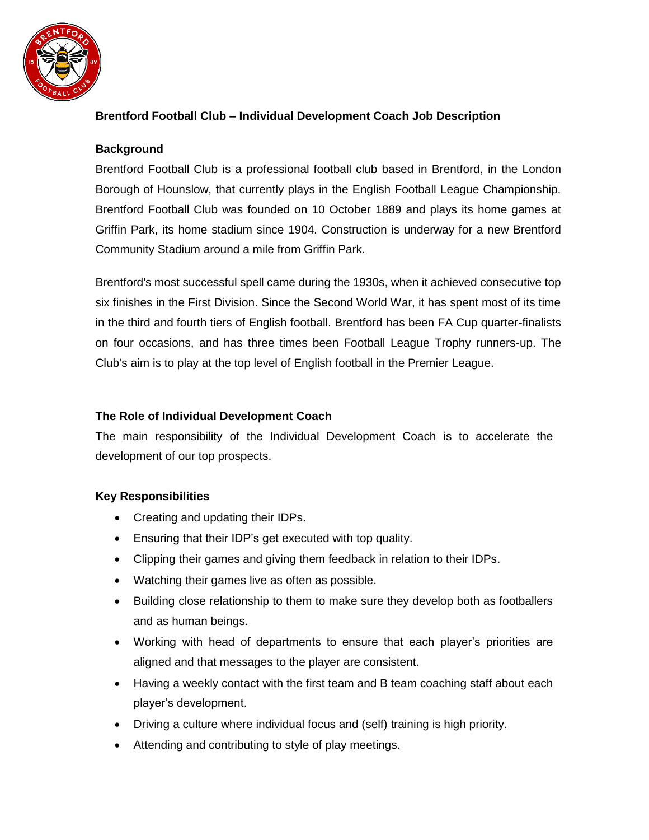

# **Brentford Football Club – Individual Development Coach Job Description**

## **Background**

Brentford Football Club is a professional football club based in Brentford, in the London Borough of Hounslow, that currently plays in the English Football League Championship. Brentford Football Club was founded on 10 October 1889 and plays its home games at Griffin Park, its home stadium since 1904. Construction is underway for a new Brentford Community Stadium around a mile from Griffin Park.

Brentford's most successful spell came during the 1930s, when it achieved consecutive top six finishes in the First Division. Since the Second World War, it has spent most of its time in the third and fourth tiers of English football. Brentford has been FA Cup quarter-finalists on four occasions, and has three times been Football League Trophy runners-up. The Club's aim is to play at the top level of English football in the Premier League.

## **The Role of Individual Development Coach**

The main responsibility of the Individual Development Coach is to accelerate the development of our top prospects.

### **Key Responsibilities**

- Creating and updating their IDPs.
- Ensuring that their IDP's get executed with top quality.
- Clipping their games and giving them feedback in relation to their IDPs.
- Watching their games live as often as possible.
- Building close relationship to them to make sure they develop both as footballers and as human beings.
- Working with head of departments to ensure that each player's priorities are aligned and that messages to the player are consistent.
- Having a weekly contact with the first team and B team coaching staff about each player's development.
- Driving a culture where individual focus and (self) training is high priority.
- Attending and contributing to style of play meetings.